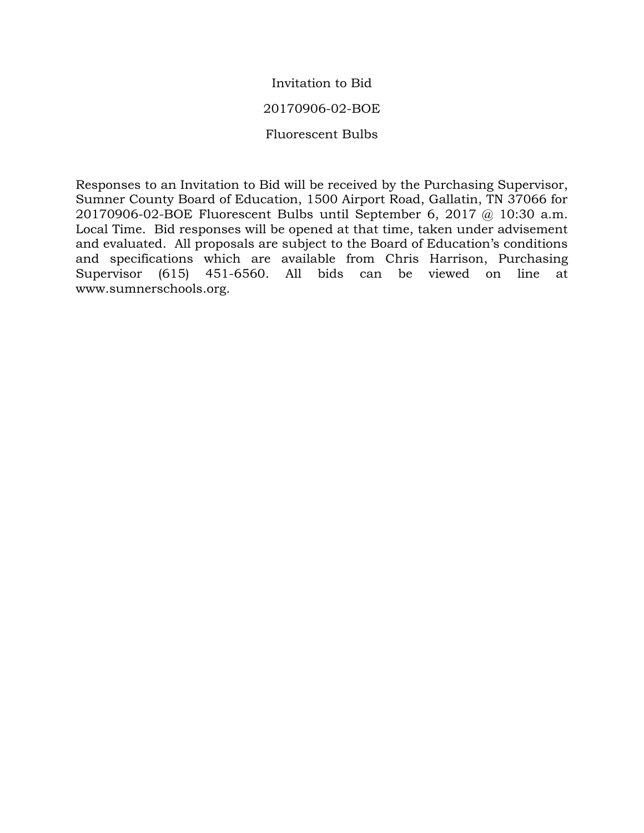# Invitation to Bid

# 20170906-02-BOE

Fluorescent Bulbs

Responses to an Invitation to Bid will be received by the Purchasing Supervisor, Sumner County Board of Education, 1500 Airport Road, Gallatin, TN 37066 for 20170906-02-BOE Fluorescent Bulbs until September 6, 2017 @ 10:30 a.m. Local Time. Bid responses will be opened at that time, taken under advisement and evaluated. All proposals are subject to the Board of Education's conditions and specifications which are available from Chris Harrison, Purchasing Supervisor (615) 451-6560. All bids can be viewed on line at www.sumnerschools.org.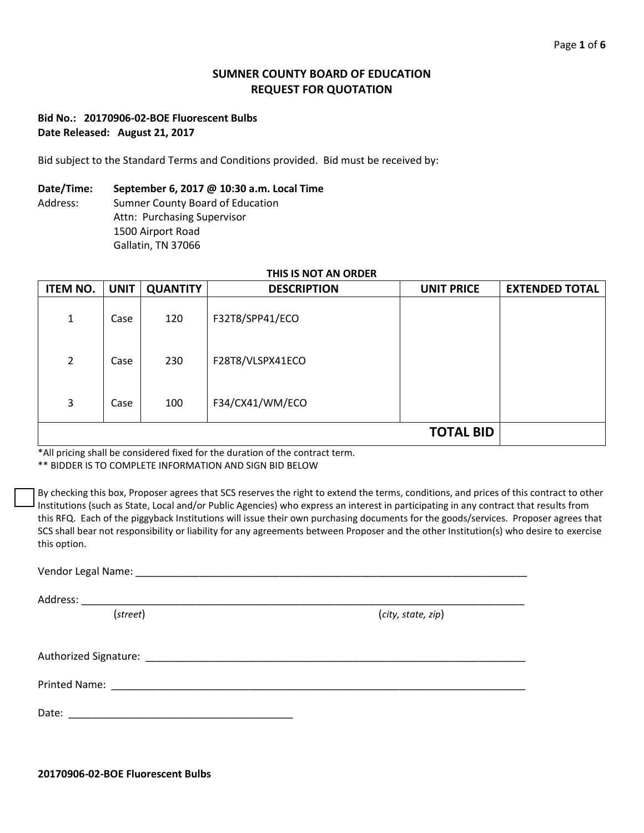## **SUMNER COUNTY BOARD OF EDUCATION REQUEST FOR QUOTATION**

#### **Bid No.: 20170906-02-BOE Fluorescent Bulbs Date Released: August 21, 2017**

Bid subject to the Standard Terms and Conditions provided. Bid must be received by:

#### **Date/Time: September 6, 2017 @ 10:30 a.m. Local Time**

Address: Sumner County Board of Education Attn: Purchasing Supervisor 1500 Airport Road Gallatin, TN 37066

# **THIS IS NOT AN ORDER**

| <b>ITEM NO.</b> | <b>UNIT</b> | <b>QUANTITY</b> | <b>DESCRIPTION</b> | <b>UNIT PRICE</b> | <b>EXTENDED TOTAL</b> |
|-----------------|-------------|-----------------|--------------------|-------------------|-----------------------|
| 1               | Case        | 120             | F32T8/SPP41/ECO    |                   |                       |
| 2               | Case        | 230             | F28T8/VLSPX41ECO   |                   |                       |
| 3               | Case        | 100             | F34/CX41/WM/ECO    |                   |                       |
|                 |             |                 |                    | <b>TOTAL BID</b>  |                       |

\*All pricing shall be considered fixed for the duration of the contract term.

\*\* BIDDER IS TO COMPLETE INFORMATION AND SIGN BID BELOW

By checking this box, Proposer agrees that SCS reserves the right to extend the terms, conditions, and prices of this contract to other Institutions (such as State, Local and/or Public Agencies) who express an interest in participating in any contract that results from this RFQ. Each of the piggyback Institutions will issue their own purchasing documents for the goods/services. Proposer agrees that SCS shall bear not responsibility or liability for any agreements between Proposer and the other Institution(s) who desire to exercise this option.

| Vendor Legal Name: |  |
|--------------------|--|
|                    |  |
|                    |  |

Address: \_\_\_\_\_\_\_\_\_\_\_\_\_\_\_\_\_\_\_\_\_\_\_\_\_\_\_\_\_\_\_\_\_\_\_\_\_\_\_\_\_\_\_\_\_\_\_\_\_\_\_\_\_\_\_\_\_\_\_\_\_\_\_\_\_\_\_\_\_\_\_\_\_\_\_\_\_

(*street*) (*city, state, zip*)

Authorized Signature: \_\_\_\_\_\_\_\_\_\_\_\_\_\_\_\_\_\_\_\_\_\_\_\_\_\_\_\_\_\_\_\_\_\_\_\_\_\_\_\_\_\_\_\_\_\_\_\_\_\_\_\_\_\_\_\_\_\_\_\_\_\_\_\_\_\_

Printed Name: \_\_\_\_\_\_\_\_\_\_\_\_\_\_\_\_\_\_\_\_\_\_\_\_\_\_\_\_\_\_\_\_\_\_\_\_\_\_\_\_\_\_\_\_\_\_\_\_\_\_\_\_\_\_\_\_\_\_\_\_\_\_\_\_\_\_\_\_\_\_\_\_

Date:  $\Box$ 

**20170906-02-BOE Fluorescent Bulbs**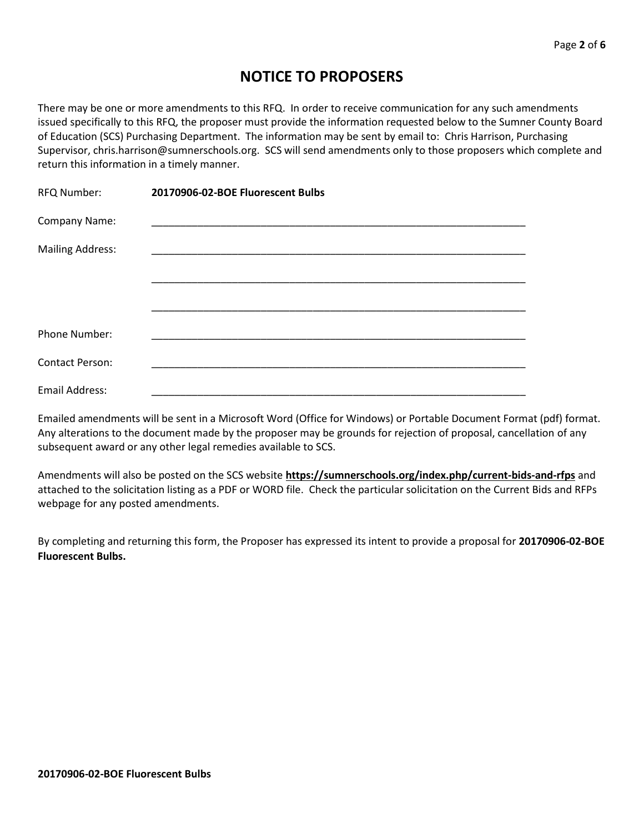# **NOTICE TO PROPOSERS**

There may be one or more amendments to this RFQ. In order to receive communication for any such amendments issued specifically to this RFQ, the proposer must provide the information requested below to the Sumner County Board of Education (SCS) Purchasing Department. The information may be sent by email to: Chris Harrison, Purchasing Supervisor, chris.harrison@sumnerschools.org. SCS will send amendments only to those proposers which complete and return this information in a timely manner.

| RFQ Number:             | 20170906-02-BOE Fluorescent Bulbs |
|-------------------------|-----------------------------------|
| Company Name:           |                                   |
| <b>Mailing Address:</b> |                                   |
|                         |                                   |
|                         |                                   |
| Phone Number:           |                                   |
| <b>Contact Person:</b>  |                                   |
| Email Address:          |                                   |

Emailed amendments will be sent in a Microsoft Word (Office for Windows) or Portable Document Format (pdf) format. Any alterations to the document made by the proposer may be grounds for rejection of proposal, cancellation of any subsequent award or any other legal remedies available to SCS.

Amendments will also be posted on the SCS website **https://sumnerschools.org/index.php/current-bids-and-rfps** and attached to the solicitation listing as a PDF or WORD file. Check the particular solicitation on the Current Bids and RFPs webpage for any posted amendments.

By completing and returning this form, the Proposer has expressed its intent to provide a proposal for **20170906-02-BOE Fluorescent Bulbs.**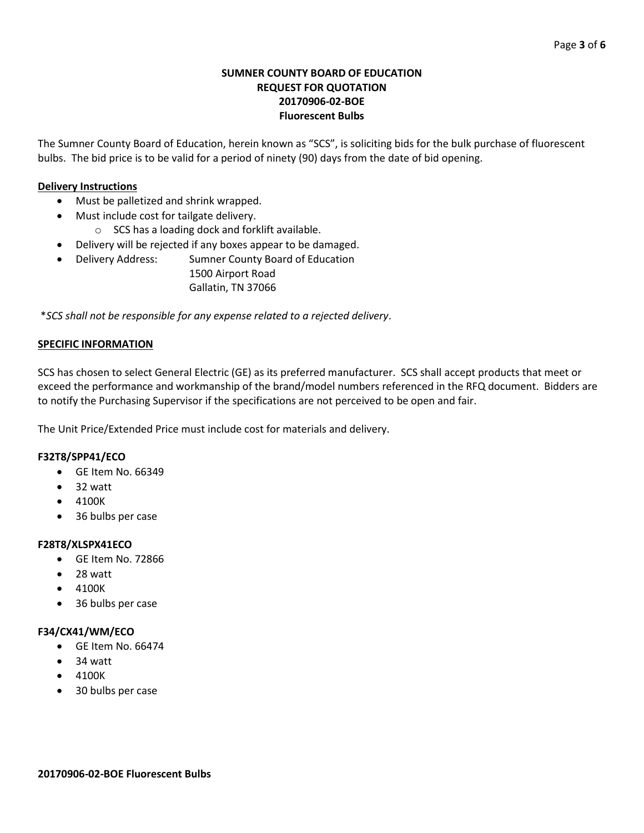#### **SUMNER COUNTY BOARD OF EDUCATION REQUEST FOR QUOTATION 20170906-02-BOE Fluorescent Bulbs**

The Sumner County Board of Education, herein known as "SCS", is soliciting bids for the bulk purchase of fluorescent bulbs. The bid price is to be valid for a period of ninety (90) days from the date of bid opening.

## **Delivery Instructions**

- Must be palletized and shrink wrapped.
- Must include cost for tailgate delivery.
	- o SCS has a loading dock and forklift available.
- Delivery will be rejected if any boxes appear to be damaged.
- Delivery Address: Sumner County Board of Education 1500 Airport Road Gallatin, TN 37066

\**SCS shall not be responsible for any expense related to a rejected delivery*.

#### **SPECIFIC INFORMATION**

SCS has chosen to select General Electric (GE) as its preferred manufacturer. SCS shall accept products that meet or exceed the performance and workmanship of the brand/model numbers referenced in the RFQ document. Bidders are to notify the Purchasing Supervisor if the specifications are not perceived to be open and fair.

The Unit Price/Extended Price must include cost for materials and delivery.

#### **F32T8/SPP41/ECO**

- GE Item No. 66349
- 32 watt
- 4100K
- 36 bulbs per case

#### **F28T8/XLSPX41ECO**

- GE Item No. 72866
- $\bullet$  28 watt
- 4100K
- 36 bulbs per case

## **F34/CX41/WM/ECO**

- GE Item No. 66474
- 34 watt
- 4100K
- 30 bulbs per case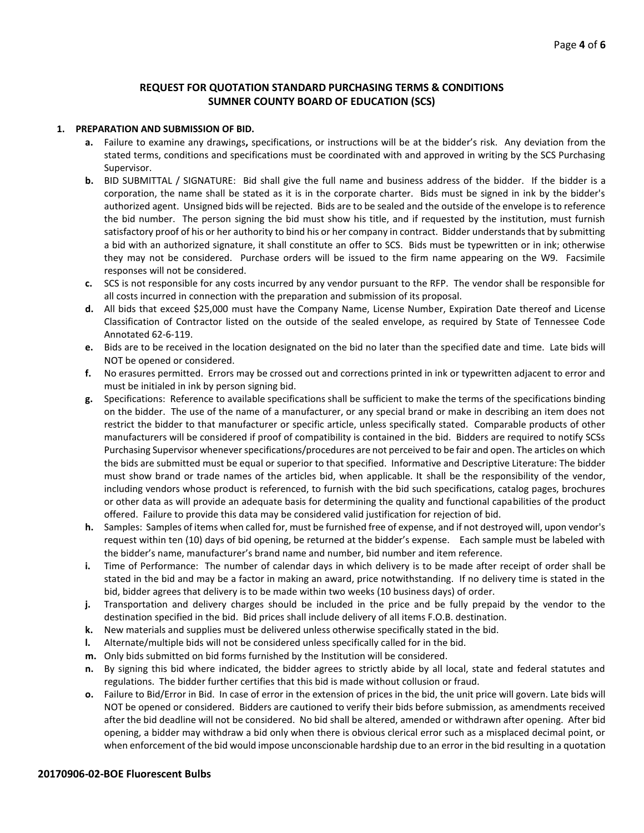#### **REQUEST FOR QUOTATION STANDARD PURCHASING TERMS & CONDITIONS SUMNER COUNTY BOARD OF EDUCATION (SCS)**

#### **1. PREPARATION AND SUBMISSION OF BID.**

- **a.** Failure to examine any drawings**,** specifications, or instructions will be at the bidder's risk. Any deviation from the stated terms, conditions and specifications must be coordinated with and approved in writing by the SCS Purchasing Supervisor.
- **b.** BID SUBMITTAL / SIGNATURE: Bid shall give the full name and business address of the bidder. If the bidder is a corporation, the name shall be stated as it is in the corporate charter. Bids must be signed in ink by the bidder's authorized agent. Unsigned bids will be rejected. Bids are to be sealed and the outside of the envelope is to reference the bid number. The person signing the bid must show his title, and if requested by the institution, must furnish satisfactory proof of his or her authority to bind his or her company in contract. Bidder understands that by submitting a bid with an authorized signature, it shall constitute an offer to SCS. Bids must be typewritten or in ink; otherwise they may not be considered. Purchase orders will be issued to the firm name appearing on the W9. Facsimile responses will not be considered.
- **c.** SCS is not responsible for any costs incurred by any vendor pursuant to the RFP. The vendor shall be responsible for all costs incurred in connection with the preparation and submission of its proposal.
- **d.** All bids that exceed \$25,000 must have the Company Name, License Number, Expiration Date thereof and License Classification of Contractor listed on the outside of the sealed envelope, as required by State of Tennessee Code Annotated 62-6-119.
- **e.** Bids are to be received in the location designated on the bid no later than the specified date and time. Late bids will NOT be opened or considered.
- **f.** No erasures permitted. Errors may be crossed out and corrections printed in ink or typewritten adjacent to error and must be initialed in ink by person signing bid.
- **g.** Specifications: Reference to available specifications shall be sufficient to make the terms of the specifications binding on the bidder. The use of the name of a manufacturer, or any special brand or make in describing an item does not restrict the bidder to that manufacturer or specific article, unless specifically stated. Comparable products of other manufacturers will be considered if proof of compatibility is contained in the bid. Bidders are required to notify SCSs Purchasing Supervisor whenever specifications/procedures are not perceived to be fair and open. The articles on which the bids are submitted must be equal or superior to that specified. Informative and Descriptive Literature: The bidder must show brand or trade names of the articles bid, when applicable. It shall be the responsibility of the vendor, including vendors whose product is referenced, to furnish with the bid such specifications, catalog pages, brochures or other data as will provide an adequate basis for determining the quality and functional capabilities of the product offered. Failure to provide this data may be considered valid justification for rejection of bid.
- **h.** Samples: Samples of items when called for, must be furnished free of expense, and if not destroyed will, upon vendor's request within ten (10) days of bid opening, be returned at the bidder's expense. Each sample must be labeled with the bidder's name, manufacturer's brand name and number, bid number and item reference.
- **i.** Time of Performance: The number of calendar days in which delivery is to be made after receipt of order shall be stated in the bid and may be a factor in making an award, price notwithstanding. If no delivery time is stated in the bid, bidder agrees that delivery is to be made within two weeks (10 business days) of order.
- **j.** Transportation and delivery charges should be included in the price and be fully prepaid by the vendor to the destination specified in the bid. Bid prices shall include delivery of all items F.O.B. destination.
- **k.** New materials and supplies must be delivered unless otherwise specifically stated in the bid.
- **l.** Alternate/multiple bids will not be considered unless specifically called for in the bid.
- **m.** Only bids submitted on bid forms furnished by the Institution will be considered.
- **n.** By signing this bid where indicated, the bidder agrees to strictly abide by all local, state and federal statutes and regulations. The bidder further certifies that this bid is made without collusion or fraud.
- **o.** Failure to Bid/Error in Bid. In case of error in the extension of prices in the bid, the unit price will govern. Late bids will NOT be opened or considered. Bidders are cautioned to verify their bids before submission, as amendments received after the bid deadline will not be considered. No bid shall be altered, amended or withdrawn after opening. After bid opening, a bidder may withdraw a bid only when there is obvious clerical error such as a misplaced decimal point, or when enforcement of the bid would impose unconscionable hardship due to an error in the bid resulting in a quotation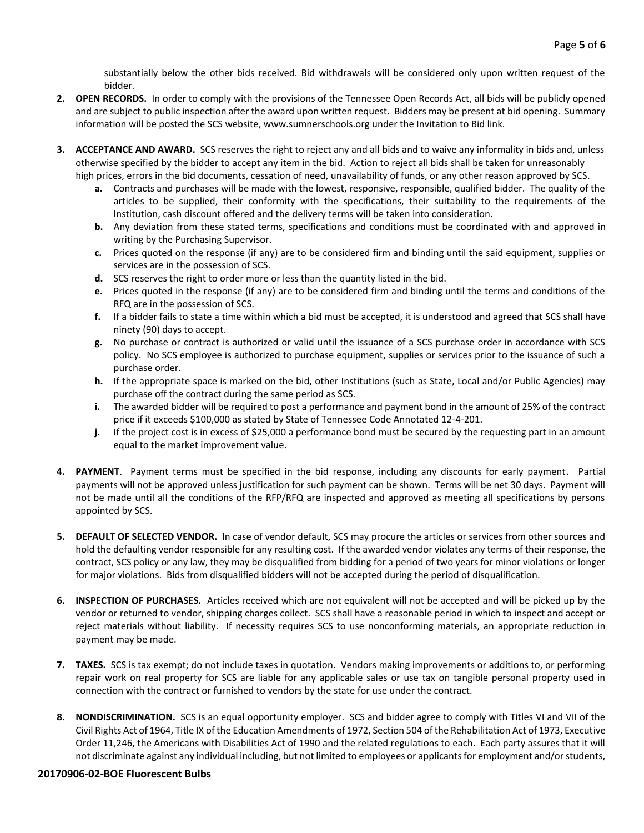substantially below the other bids received. Bid withdrawals will be considered only upon written request of the bidder.

- **2. OPEN RECORDS.** In order to comply with the provisions of the Tennessee Open Records Act, all bids will be publicly opened and are subject to public inspection after the award upon written request. Bidders may be present at bid opening. Summary information will be posted the SCS website, www.sumnerschools.org under the Invitation to Bid link.
- **3. ACCEPTANCE AND AWARD.** SCS reserves the right to reject any and all bids and to waive any informality in bids and, unless otherwise specified by the bidder to accept any item in the bid. Action to reject all bids shall be taken for unreasonably high prices, errors in the bid documents, cessation of need, unavailability of funds, or any other reason approved by SCS.
	- **a.** Contracts and purchases will be made with the lowest, responsive, responsible, qualified bidder. The quality of the articles to be supplied, their conformity with the specifications, their suitability to the requirements of the Institution, cash discount offered and the delivery terms will be taken into consideration.
	- **b.** Any deviation from these stated terms, specifications and conditions must be coordinated with and approved in writing by the Purchasing Supervisor.
	- **c.** Prices quoted on the response (if any) are to be considered firm and binding until the said equipment, supplies or services are in the possession of SCS.
	- **d.** SCS reserves the right to order more or less than the quantity listed in the bid.
	- **e.** Prices quoted in the response (if any) are to be considered firm and binding until the terms and conditions of the RFQ are in the possession of SCS.
	- **f.** If a bidder fails to state a time within which a bid must be accepted, it is understood and agreed that SCS shall have ninety (90) days to accept.
	- **g.** No purchase or contract is authorized or valid until the issuance of a SCS purchase order in accordance with SCS policy. No SCS employee is authorized to purchase equipment, supplies or services prior to the issuance of such a purchase order.
	- **h.** If the appropriate space is marked on the bid, other Institutions (such as State, Local and/or Public Agencies) may purchase off the contract during the same period as SCS.
	- **i.** The awarded bidder will be required to post a performance and payment bond in the amount of 25% of the contract price if it exceeds \$100,000 as stated by State of Tennessee Code Annotated 12-4-201.
	- **j.** If the project cost is in excess of \$25,000 a performance bond must be secured by the requesting part in an amount equal to the market improvement value.
- **4. PAYMENT**. Payment terms must be specified in the bid response, including any discounts for early payment. Partial payments will not be approved unless justification for such payment can be shown. Terms will be net 30 days. Payment will not be made until all the conditions of the RFP/RFQ are inspected and approved as meeting all specifications by persons appointed by SCS.
- **5. DEFAULT OF SELECTED VENDOR.** In case of vendor default, SCS may procure the articles or services from other sources and hold the defaulting vendor responsible for any resulting cost. If the awarded vendor violates any terms of their response, the contract, SCS policy or any law, they may be disqualified from bidding for a period of two years for minor violations or longer for major violations. Bids from disqualified bidders will not be accepted during the period of disqualification.
- **6. INSPECTION OF PURCHASES.** Articles received which are not equivalent will not be accepted and will be picked up by the vendor or returned to vendor, shipping charges collect. SCS shall have a reasonable period in which to inspect and accept or reject materials without liability. If necessity requires SCS to use nonconforming materials, an appropriate reduction in payment may be made.
- **7. TAXES.** SCS is tax exempt; do not include taxes in quotation. Vendors making improvements or additions to, or performing repair work on real property for SCS are liable for any applicable sales or use tax on tangible personal property used in connection with the contract or furnished to vendors by the state for use under the contract.
- **8. NONDISCRIMINATION.** SCS is an equal opportunity employer. SCS and bidder agree to comply with Titles VI and VII of the Civil Rights Act of 1964, Title IX of the Education Amendments of 1972, Section 504 of the Rehabilitation Act of 1973, Executive Order 11,246, the Americans with Disabilities Act of 1990 and the related regulations to each. Each party assures that it will not discriminate against any individual including, but not limited to employees or applicants for employment and/or students,

#### **20170906-02-BOE Fluorescent Bulbs**